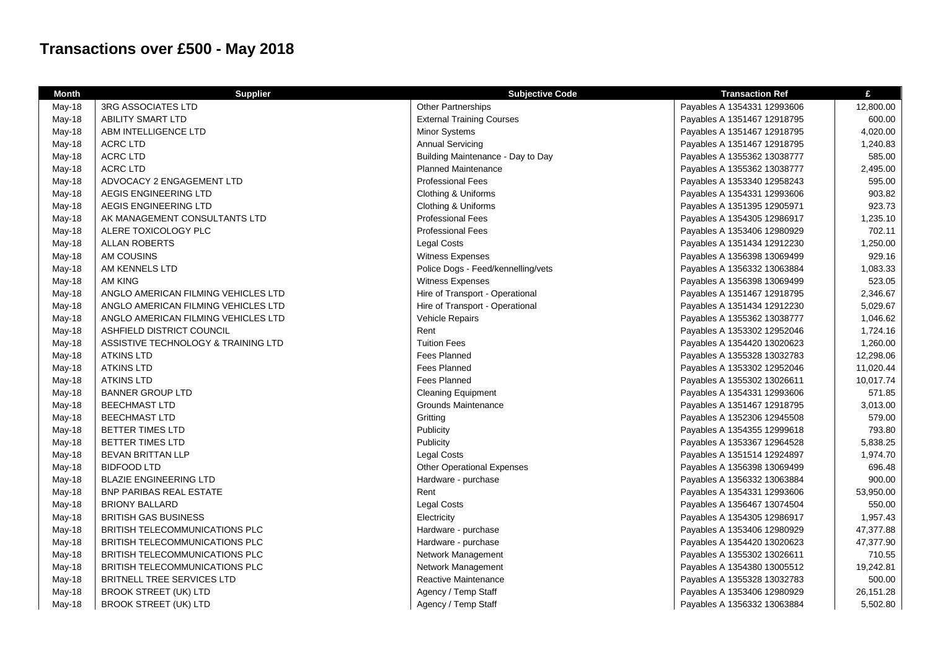## **Transactions over £500 - May 2018**

| <b>Month</b> | <b>Supplier</b>                       | <b>Subjective Code</b>             | <b>Transaction Ref</b>      | £         |
|--------------|---------------------------------------|------------------------------------|-----------------------------|-----------|
| May-18       | 3RG ASSOCIATES LTD                    | <b>Other Partnerships</b>          | Payables A 1354331 12993606 | 12,800.00 |
| May-18       | ABILITY SMART LTD                     | <b>External Training Courses</b>   | Payables A 1351467 12918795 | 600.00    |
| May-18       | ABM INTELLIGENCE LTD                  | Minor Systems                      | Payables A 1351467 12918795 | 4,020.00  |
| May-18       | ACRC LTD                              | <b>Annual Servicing</b>            | Payables A 1351467 12918795 | 1,240.83  |
| May-18       | <b>ACRC LTD</b>                       | Building Maintenance - Day to Day  | Payables A 1355362 13038777 | 585.00    |
| May-18       | <b>ACRC LTD</b>                       | <b>Planned Maintenance</b>         | Payables A 1355362 13038777 | 2,495.00  |
| May-18       | ADVOCACY 2 ENGAGEMENT LTD             | <b>Professional Fees</b>           | Payables A 1353340 12958243 | 595.00    |
| May-18       | AEGIS ENGINEERING LTD                 | Clothing & Uniforms                | Payables A 1354331 12993606 | 903.82    |
| May-18       | AEGIS ENGINEERING LTD                 | Clothing & Uniforms                | Payables A 1351395 12905971 | 923.73    |
| May-18       | AK MANAGEMENT CONSULTANTS LTD         | <b>Professional Fees</b>           | Payables A 1354305 12986917 | 1,235.10  |
| May-18       | ALERE TOXICOLOGY PLC                  | <b>Professional Fees</b>           | Payables A 1353406 12980929 | 702.11    |
| May-18       | <b>ALLAN ROBERTS</b>                  | <b>Legal Costs</b>                 | Payables A 1351434 12912230 | 1,250.00  |
| May-18       | AM COUSINS                            | Witness Expenses                   | Payables A 1356398 13069499 | 929.16    |
| May-18       | AM KENNELS LTD                        | Police Dogs - Feed/kennelling/vets | Payables A 1356332 13063884 | 1,083.33  |
| May-18       | AM KING                               | Witness Expenses                   | Payables A 1356398 13069499 | 523.05    |
| May-18       | ANGLO AMERICAN FILMING VEHICLES LTD   | Hire of Transport - Operational    | Payables A 1351467 12918795 | 2,346.67  |
| May-18       | ANGLO AMERICAN FILMING VEHICLES LTD   | Hire of Transport - Operational    | Payables A 1351434 12912230 | 5,029.67  |
| May-18       | ANGLO AMERICAN FILMING VEHICLES LTD   | Vehicle Repairs                    | Payables A 1355362 13038777 | 1,046.62  |
| May-18       | ASHFIELD DISTRICT COUNCIL             | Rent                               | Payables A 1353302 12952046 | 1,724.16  |
| May-18       | ASSISTIVE TECHNOLOGY & TRAINING LTD   | <b>Tuition Fees</b>                | Payables A 1354420 13020623 | 1,260.00  |
| May-18       | <b>ATKINS LTD</b>                     | <b>Fees Planned</b>                | Payables A 1355328 13032783 | 12,298.06 |
| May-18       | <b>ATKINS LTD</b>                     | <b>Fees Planned</b>                | Payables A 1353302 12952046 | 11,020.44 |
| May-18       | <b>ATKINS LTD</b>                     | <b>Fees Planned</b>                | Payables A 1355302 13026611 | 10,017.74 |
| May-18       | <b>BANNER GROUP LTD</b>               | <b>Cleaning Equipment</b>          | Payables A 1354331 12993606 | 571.85    |
| May-18       | <b>BEECHMAST LTD</b>                  | Grounds Maintenance                | Payables A 1351467 12918795 | 3,013.00  |
| May-18       | <b>BEECHMAST LTD</b>                  | Gritting                           | Payables A 1352306 12945508 | 579.00    |
| May-18       | BETTER TIMES LTD                      | Publicity                          | Payables A 1354355 12999618 | 793.80    |
| May-18       | BETTER TIMES LTD                      | Publicity                          | Payables A 1353367 12964528 | 5,838.25  |
| May-18       | <b>BEVAN BRITTAN LLP</b>              | <b>Legal Costs</b>                 | Payables A 1351514 12924897 | 1,974.70  |
| May-18       | <b>BIDFOOD LTD</b>                    | <b>Other Operational Expenses</b>  | Payables A 1356398 13069499 | 696.48    |
| May-18       | <b>BLAZIE ENGINEERING LTD</b>         | Hardware - purchase                | Payables A 1356332 13063884 | 900.00    |
| May-18       | <b>BNP PARIBAS REAL ESTATE</b>        | Rent                               | Payables A 1354331 12993606 | 53,950.00 |
| May-18       | <b>BRIONY BALLARD</b>                 | Legal Costs                        | Payables A 1356467 13074504 | 550.00    |
| May-18       | <b>BRITISH GAS BUSINESS</b>           | Electricity                        | Payables A 1354305 12986917 | 1,957.43  |
| May-18       | <b>BRITISH TELECOMMUNICATIONS PLC</b> | Hardware - purchase                | Payables A 1353406 12980929 | 47,377.88 |
| May-18       | <b>BRITISH TELECOMMUNICATIONS PLC</b> | Hardware - purchase                | Payables A 1354420 13020623 | 47,377.90 |
| May-18       | <b>BRITISH TELECOMMUNICATIONS PLC</b> | Network Management                 | Payables A 1355302 13026611 | 710.55    |
| May-18       | BRITISH TELECOMMUNICATIONS PLC        | Network Management                 | Payables A 1354380 13005512 | 19,242.81 |
| May-18       | BRITNELL TREE SERVICES LTD            | Reactive Maintenance               | Payables A 1355328 13032783 | 500.00    |
| May-18       | <b>BROOK STREET (UK) LTD</b>          | Agency / Temp Staff                | Payables A 1353406 12980929 | 26,151.28 |
| May-18       | <b>BROOK STREET (UK) LTD</b>          | Agency / Temp Staff                | Payables A 1356332 13063884 | 5,502.80  |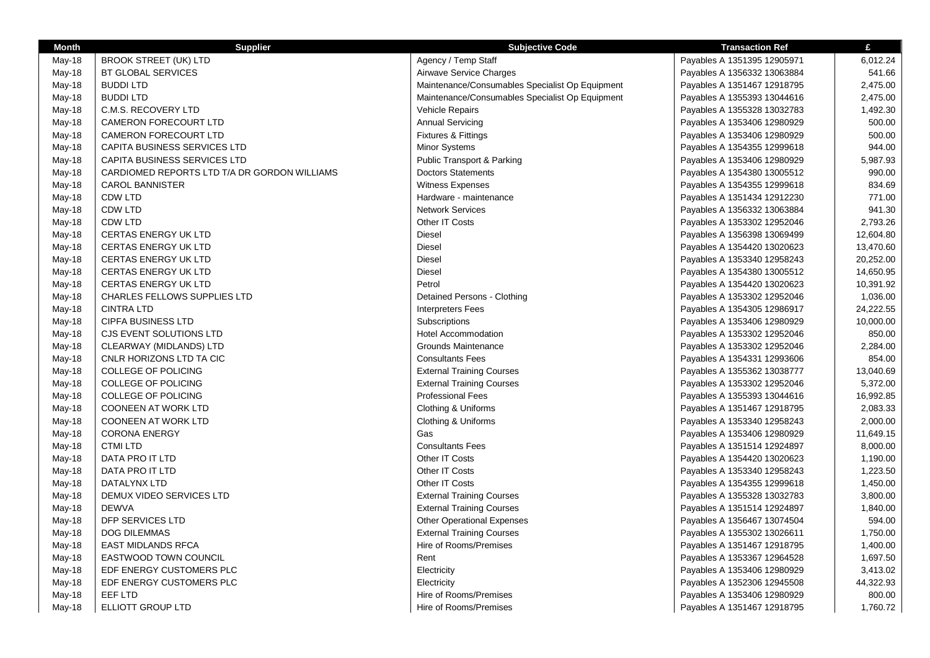| <b>Month</b> | <b>Supplier</b>                              | <b>Subjective Code</b>                          | <b>Transaction Ref</b>      | £         |
|--------------|----------------------------------------------|-------------------------------------------------|-----------------------------|-----------|
| May-18       | <b>BROOK STREET (UK) LTD</b>                 | Agency / Temp Staff                             | Payables A 1351395 12905971 | 6,012.24  |
| May-18       | <b>BT GLOBAL SERVICES</b>                    | Airwave Service Charges                         | Payables A 1356332 13063884 | 541.66    |
| May-18       | <b>BUDDI LTD</b>                             | Maintenance/Consumables Specialist Op Equipment | Payables A 1351467 12918795 | 2,475.00  |
| May-18       | <b>BUDDI LTD</b>                             | Maintenance/Consumables Specialist Op Equipment | Payables A 1355393 13044616 | 2,475.00  |
| May-18       | C.M.S. RECOVERY LTD                          | <b>Vehicle Repairs</b>                          | Payables A 1355328 13032783 | 1,492.30  |
| May-18       | <b>CAMERON FORECOURT LTD</b>                 | <b>Annual Servicing</b>                         | Payables A 1353406 12980929 | 500.00    |
| May-18       | <b>CAMERON FORECOURT LTD</b>                 | <b>Fixtures &amp; Fittings</b>                  | Payables A 1353406 12980929 | 500.00    |
| May-18       | CAPITA BUSINESS SERVICES LTD                 | Minor Systems                                   | Payables A 1354355 12999618 | 944.00    |
| May-18       | CAPITA BUSINESS SERVICES LTD                 | <b>Public Transport &amp; Parking</b>           | Payables A 1353406 12980929 | 5,987.93  |
| May-18       | CARDIOMED REPORTS LTD T/A DR GORDON WILLIAMS | <b>Doctors Statements</b>                       | Payables A 1354380 13005512 | 990.00    |
| May-18       | <b>CAROL BANNISTER</b>                       | Witness Expenses                                | Payables A 1354355 12999618 | 834.69    |
| May-18       | CDW LTD                                      | Hardware - maintenance                          | Payables A 1351434 12912230 | 771.00    |
| May-18       | CDW LTD                                      | <b>Network Services</b>                         | Payables A 1356332 13063884 | 941.30    |
| May-18       | <b>CDW LTD</b>                               | Other IT Costs                                  | Payables A 1353302 12952046 | 2,793.26  |
| May-18       | CERTAS ENERGY UK LTD                         | <b>Diesel</b>                                   | Payables A 1356398 13069499 | 12,604.80 |
| May-18       | CERTAS ENERGY UK LTD                         | Diesel                                          | Payables A 1354420 13020623 | 13,470.60 |
| May-18       | CERTAS ENERGY UK LTD                         | <b>Diesel</b>                                   | Payables A 1353340 12958243 | 20,252.00 |
| May-18       | CERTAS ENERGY UK LTD                         | <b>Diesel</b>                                   | Payables A 1354380 13005512 | 14,650.95 |
| May-18       | <b>CERTAS ENERGY UK LTD</b>                  | Petrol                                          | Payables A 1354420 13020623 | 10,391.92 |
| May-18       | <b>CHARLES FELLOWS SUPPLIES LTD</b>          | Detained Persons - Clothing                     | Payables A 1353302 12952046 | 1,036.00  |
| May-18       | <b>CINTRA LTD</b>                            | <b>Interpreters Fees</b>                        | Payables A 1354305 12986917 | 24,222.55 |
| May-18       | <b>CIPFA BUSINESS LTD</b>                    | Subscriptions                                   | Payables A 1353406 12980929 | 10,000.00 |
| May-18       | CJS EVENT SOLUTIONS LTD                      | <b>Hotel Accommodation</b>                      | Payables A 1353302 12952046 | 850.00    |
| May-18       | CLEARWAY (MIDLANDS) LTD                      | Grounds Maintenance                             | Payables A 1353302 12952046 | 2,284.00  |
| May-18       | CNLR HORIZONS LTD TA CIC                     | <b>Consultants Fees</b>                         | Payables A 1354331 12993606 | 854.00    |
| May-18       | <b>COLLEGE OF POLICING</b>                   | <b>External Training Courses</b>                | Payables A 1355362 13038777 | 13,040.69 |
| May-18       | COLLEGE OF POLICING                          | <b>External Training Courses</b>                | Payables A 1353302 12952046 | 5,372.00  |
| May-18       | <b>COLLEGE OF POLICING</b>                   | Professional Fees                               | Payables A 1355393 13044616 | 16,992.85 |
| May-18       | <b>COONEEN AT WORK LTD</b>                   | Clothing & Uniforms                             | Payables A 1351467 12918795 | 2,083.33  |
| May-18       | <b>COONEEN AT WORK LTD</b>                   | Clothing & Uniforms                             | Payables A 1353340 12958243 | 2,000.00  |
| May-18       | <b>CORONA ENERGY</b>                         | Gas                                             | Payables A 1353406 12980929 | 11,649.15 |
| May-18       | <b>CTMI LTD</b>                              | <b>Consultants Fees</b>                         | Payables A 1351514 12924897 | 8,000.00  |
| May-18       | DATA PRO IT LTD                              | Other IT Costs                                  | Payables A 1354420 13020623 | 1,190.00  |
| May-18       | DATA PRO IT LTD                              | Other IT Costs                                  | Payables A 1353340 12958243 | 1,223.50  |
| May-18       | DATALYNX LTD                                 | Other IT Costs                                  | Payables A 1354355 12999618 | 1,450.00  |
| May-18       | DEMUX VIDEO SERVICES LTD                     | <b>External Training Courses</b>                | Payables A 1355328 13032783 | 3,800.00  |
| May-18       | <b>DEWVA</b>                                 | <b>External Training Courses</b>                | Payables A 1351514 12924897 | 1,840.00  |
| May-18       | DFP SERVICES LTD                             | <b>Other Operational Expenses</b>               | Payables A 1356467 13074504 | 594.00    |
| May-18       | <b>DOG DILEMMAS</b>                          | <b>External Training Courses</b>                | Payables A 1355302 13026611 | 1,750.00  |
| May-18       | <b>EAST MIDLANDS RFCA</b>                    | Hire of Rooms/Premises                          | Payables A 1351467 12918795 | 1,400.00  |
| May-18       | <b>EASTWOOD TOWN COUNCIL</b>                 | Rent                                            | Payables A 1353367 12964528 | 1,697.50  |
| May-18       | EDF ENERGY CUSTOMERS PLC                     | Electricity                                     | Payables A 1353406 12980929 | 3,413.02  |
| May-18       | EDF ENERGY CUSTOMERS PLC                     | Electricity                                     | Payables A 1352306 12945508 | 44,322.93 |
| May-18       | EEF LTD                                      | Hire of Rooms/Premises                          | Payables A 1353406 12980929 | 800.00    |
| May-18       | ELLIOTT GROUP LTD                            | Hire of Rooms/Premises                          | Payables A 1351467 12918795 | 1,760.72  |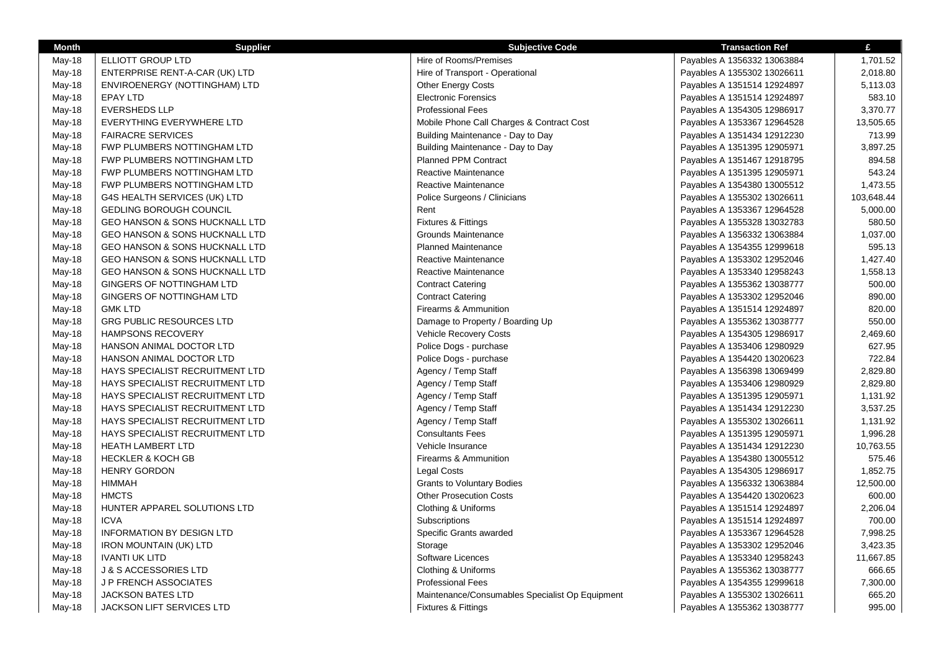| Month    | <b>Supplier</b>                        | <b>Subjective Code</b>                          | <b>Transaction Ref</b>      | £          |
|----------|----------------------------------------|-------------------------------------------------|-----------------------------|------------|
| May-18   | ELLIOTT GROUP LTD                      | Hire of Rooms/Premises                          | Payables A 1356332 13063884 | 1,701.52   |
| May-18   | ENTERPRISE RENT-A-CAR (UK) LTD         | Hire of Transport - Operational                 | Payables A 1355302 13026611 | 2,018.80   |
| May-18   | ENVIROENERGY (NOTTINGHAM) LTD          | <b>Other Energy Costs</b>                       | Payables A 1351514 12924897 | 5,113.03   |
| May-18   | EPAY LTD                               | <b>Electronic Forensics</b>                     | Payables A 1351514 12924897 | 583.10     |
| May-18   | <b>EVERSHEDS LLP</b>                   | <b>Professional Fees</b>                        | Payables A 1354305 12986917 | 3,370.77   |
| May-18   | EVERYTHING EVERYWHERE LTD              | Mobile Phone Call Charges & Contract Cost       | Payables A 1353367 12964528 | 13,505.65  |
| May-18   | <b>FAIRACRE SERVICES</b>               | Building Maintenance - Day to Day               | Payables A 1351434 12912230 | 713.99     |
| May-18   | FWP PLUMBERS NOTTINGHAM LTD            | Building Maintenance - Day to Day               | Payables A 1351395 12905971 | 3,897.25   |
| May-18   | FWP PLUMBERS NOTTINGHAM LTD            | Planned PPM Contract                            | Payables A 1351467 12918795 | 894.58     |
| May-18   | FWP PLUMBERS NOTTINGHAM LTD            | Reactive Maintenance                            | Payables A 1351395 12905971 | 543.24     |
| May-18   | FWP PLUMBERS NOTTINGHAM LTD            | Reactive Maintenance                            | Payables A 1354380 13005512 | 1,473.55   |
| May-18   | G4S HEALTH SERVICES (UK) LTD           | Police Surgeons / Clinicians                    | Payables A 1355302 13026611 | 103,648.44 |
| May-18   | GEDLING BOROUGH COUNCIL                | Rent                                            | Payables A 1353367 12964528 | 5,000.00   |
| May-18   | GEO HANSON & SONS HUCKNALL LTD         | <b>Fixtures &amp; Fittings</b>                  | Payables A 1355328 13032783 | 580.50     |
| May-18   | GEO HANSON & SONS HUCKNALL LTD         | Grounds Maintenance                             | Payables A 1356332 13063884 | 1,037.00   |
| May-18   | GEO HANSON & SONS HUCKNALL LTD         | <b>Planned Maintenance</b>                      | Payables A 1354355 12999618 | 595.13     |
| May-18   | GEO HANSON & SONS HUCKNALL LTD         | Reactive Maintenance                            | Payables A 1353302 12952046 | 1,427.40   |
| May-18   | GEO HANSON & SONS HUCKNALL LTD         | Reactive Maintenance                            | Payables A 1353340 12958243 | 1,558.13   |
| May-18   | GINGERS OF NOTTINGHAM LTD              | <b>Contract Catering</b>                        | Payables A 1355362 13038777 | 500.00     |
| May-18   | GINGERS OF NOTTINGHAM LTD              | <b>Contract Catering</b>                        | Payables A 1353302 12952046 | 890.00     |
| May-18   | <b>GMK LTD</b>                         | Firearms & Ammunition                           | Payables A 1351514 12924897 | 820.00     |
| May-18   | <b>GRG PUBLIC RESOURCES LTD</b>        | Damage to Property / Boarding Up                | Payables A 1355362 13038777 | 550.00     |
| May-18   | <b>HAMPSONS RECOVERY</b>               | Vehicle Recovery Costs                          | Payables A 1354305 12986917 | 2,469.60   |
| May-18   | HANSON ANIMAL DOCTOR LTD               | Police Dogs - purchase                          | Payables A 1353406 12980929 | 627.95     |
| May-18   | HANSON ANIMAL DOCTOR LTD               | Police Dogs - purchase                          | Payables A 1354420 13020623 | 722.84     |
| May-18   | HAYS SPECIALIST RECRUITMENT LTD        | Agency / Temp Staff                             | Payables A 1356398 13069499 | 2,829.80   |
| May-18   | HAYS SPECIALIST RECRUITMENT LTD        | Agency / Temp Staff                             | Payables A 1353406 12980929 | 2,829.80   |
| May-18   | HAYS SPECIALIST RECRUITMENT LTD        | Agency / Temp Staff                             | Payables A 1351395 12905971 | 1,131.92   |
| May-18   | HAYS SPECIALIST RECRUITMENT LTD        | Agency / Temp Staff                             | Payables A 1351434 12912230 | 3,537.25   |
| May-18   | HAYS SPECIALIST RECRUITMENT LTD        | Agency / Temp Staff                             | Payables A 1355302 13026611 | 1,131.92   |
| May-18   | <b>HAYS SPECIALIST RECRUITMENT LTD</b> | <b>Consultants Fees</b>                         | Payables A 1351395 12905971 | 1,996.28   |
| May-18   | <b>HEATH LAMBERT LTD</b>               | Vehicle Insurance                               | Payables A 1351434 12912230 | 10,763.55  |
| May-18   | <b>HECKLER &amp; KOCH GB</b>           | Firearms & Ammunition                           | Payables A 1354380 13005512 | 575.46     |
| May-18   | <b>HENRY GORDON</b>                    | <b>Legal Costs</b>                              | Payables A 1354305 12986917 | 1,852.75   |
| May-18   | HIMMAH                                 | <b>Grants to Voluntary Bodies</b>               | Payables A 1356332 13063884 | 12,500.00  |
| May-18   | <b>HMCTS</b>                           | <b>Other Prosecution Costs</b>                  | Payables A 1354420 13020623 | 600.00     |
| May-18   | HUNTER APPAREL SOLUTIONS LTD           | Clothing & Uniforms                             | Payables A 1351514 12924897 | 2,206.04   |
| May-18   | <b>ICVA</b>                            | Subscriptions                                   | Payables A 1351514 12924897 | 700.00     |
| May-18   | <b>INFORMATION BY DESIGN LTD</b>       | Specific Grants awarded                         | Payables A 1353367 12964528 | 7,998.25   |
| May-18   | <b>IRON MOUNTAIN (UK) LTD</b>          | Storage                                         | Payables A 1353302 12952046 | 3,423.35   |
| May-18   | <b>IVANTI UK LITD</b>                  | Software Licences                               | Payables A 1353340 12958243 | 11,667.85  |
| May-18   | <b>J &amp; S ACCESSORIES LTD</b>       | Clothing & Uniforms                             | Payables A 1355362 13038777 | 666.65     |
| May-18   | <b>JP FRENCH ASSOCIATES</b>            | <b>Professional Fees</b>                        | Payables A 1354355 12999618 | 7,300.00   |
| May-18   | <b>JACKSON BATES LTD</b>               | Maintenance/Consumables Specialist Op Equipment | Payables A 1355302 13026611 | 665.20     |
| $May-18$ | JACKSON LIFT SERVICES LTD              | <b>Fixtures &amp; Fittings</b>                  | Payables A 1355362 13038777 | 995.00     |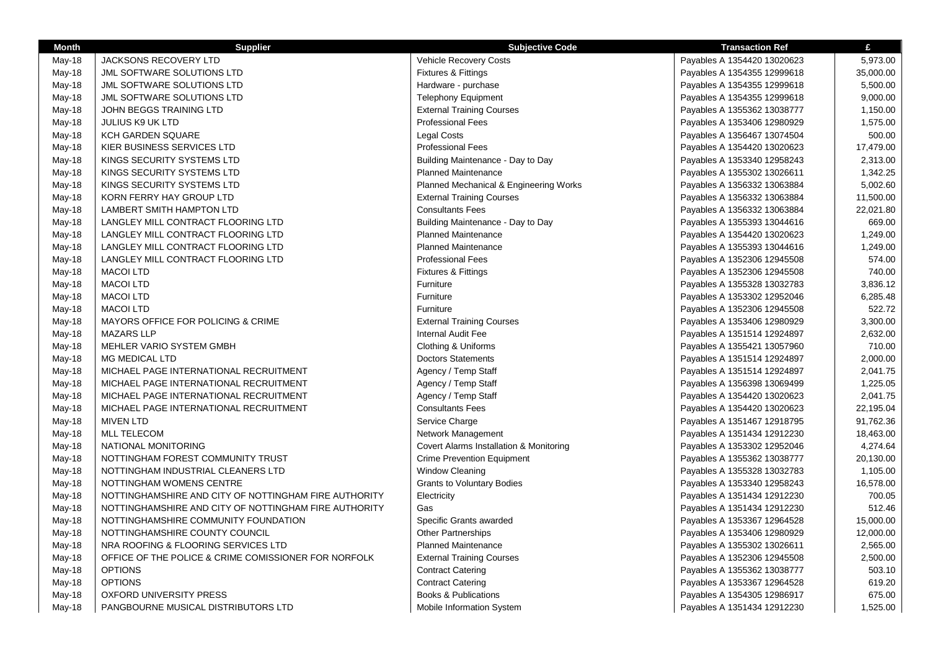| <b>Month</b> | <b>Supplier</b>                                       | <b>Subjective Code</b>                  | <b>Transaction Ref</b>      | £         |
|--------------|-------------------------------------------------------|-----------------------------------------|-----------------------------|-----------|
| May-18       | <b>JACKSONS RECOVERY LTD</b>                          | Vehicle Recovery Costs                  | Payables A 1354420 13020623 | 5,973.00  |
| May-18       | JML SOFTWARE SOLUTIONS LTD                            | Fixtures & Fittings                     | Payables A 1354355 12999618 | 35,000.00 |
| May-18       | <b>JML SOFTWARE SOLUTIONS LTD</b>                     | Hardware - purchase                     | Payables A 1354355 12999618 | 5,500.00  |
| May-18       | JML SOFTWARE SOLUTIONS LTD                            | <b>Telephony Equipment</b>              | Payables A 1354355 12999618 | 9,000.00  |
| May-18       | JOHN BEGGS TRAINING LTD                               | <b>External Training Courses</b>        | Payables A 1355362 13038777 | 1,150.00  |
| May-18       | <b>JULIUS K9 UK LTD</b>                               | <b>Professional Fees</b>                | Payables A 1353406 12980929 | 1,575.00  |
| May-18       | KCH GARDEN SQUARE                                     | <b>Legal Costs</b>                      | Payables A 1356467 13074504 | 500.00    |
| May-18       | KIER BUSINESS SERVICES LTD                            | <b>Professional Fees</b>                | Payables A 1354420 13020623 | 17,479.00 |
| May-18       | KINGS SECURITY SYSTEMS LTD                            | Building Maintenance - Day to Day       | Payables A 1353340 12958243 | 2,313.00  |
| May-18       | KINGS SECURITY SYSTEMS LTD                            | <b>Planned Maintenance</b>              | Payables A 1355302 13026611 | 1,342.25  |
| May-18       | KINGS SECURITY SYSTEMS LTD                            | Planned Mechanical & Engineering Works  | Payables A 1356332 13063884 | 5,002.60  |
| May-18       | KORN FERRY HAY GROUP LTD                              | <b>External Training Courses</b>        | Payables A 1356332 13063884 | 11,500.00 |
| May-18       | <b>LAMBERT SMITH HAMPTON LTD</b>                      | <b>Consultants Fees</b>                 | Payables A 1356332 13063884 | 22,021.80 |
| May-18       | LANGLEY MILL CONTRACT FLOORING LTD                    | Building Maintenance - Day to Day       | Payables A 1355393 13044616 | 669.00    |
| May-18       | LANGLEY MILL CONTRACT FLOORING LTD                    | <b>Planned Maintenance</b>              | Payables A 1354420 13020623 | 1,249.00  |
| May-18       | LANGLEY MILL CONTRACT FLOORING LTD                    | <b>Planned Maintenance</b>              | Payables A 1355393 13044616 | 1,249.00  |
| May-18       | LANGLEY MILL CONTRACT FLOORING LTD                    | <b>Professional Fees</b>                | Payables A 1352306 12945508 | 574.00    |
| May-18       | <b>MACOI LTD</b>                                      | Fixtures & Fittings                     | Payables A 1352306 12945508 | 740.00    |
| May-18       | <b>MACOI LTD</b>                                      | Furniture                               | Payables A 1355328 13032783 | 3,836.12  |
| May-18       | <b>MACOI LTD</b>                                      | Furniture                               | Payables A 1353302 12952046 | 6,285.48  |
| May-18       | <b>MACOI LTD</b>                                      | Furniture                               | Payables A 1352306 12945508 | 522.72    |
| May-18       | MAYORS OFFICE FOR POLICING & CRIME                    | <b>External Training Courses</b>        | Payables A 1353406 12980929 | 3,300.00  |
| May-18       | <b>MAZARS LLP</b>                                     | Internal Audit Fee                      | Payables A 1351514 12924897 | 2,632.00  |
| May-18       | <b>MEHLER VARIO SYSTEM GMBH</b>                       | Clothing & Uniforms                     | Payables A 1355421 13057960 | 710.00    |
| May-18       | <b>MG MEDICAL LTD</b>                                 | <b>Doctors Statements</b>               | Payables A 1351514 12924897 | 2,000.00  |
| May-18       | MICHAEL PAGE INTERNATIONAL RECRUITMENT                | Agency / Temp Staff                     | Payables A 1351514 12924897 | 2,041.75  |
| May-18       | MICHAEL PAGE INTERNATIONAL RECRUITMENT                | Agency / Temp Staff                     | Payables A 1356398 13069499 | 1,225.05  |
| May-18       | MICHAEL PAGE INTERNATIONAL RECRUITMENT                | Agency / Temp Staff                     | Payables A 1354420 13020623 | 2,041.75  |
| May-18       | MICHAEL PAGE INTERNATIONAL RECRUITMENT                | <b>Consultants Fees</b>                 | Payables A 1354420 13020623 | 22,195.04 |
| May-18       | <b>MIVEN LTD</b>                                      | Service Charge                          | Payables A 1351467 12918795 | 91,762.36 |
| May-18       | <b>MLL TELECOM</b>                                    | Network Management                      | Payables A 1351434 12912230 | 18,463.00 |
| May-18       | NATIONAL MONITORING                                   | Covert Alarms Installation & Monitoring | Payables A 1353302 12952046 | 4,274.64  |
| May-18       | NOTTINGHAM FOREST COMMUNITY TRUST                     | <b>Crime Prevention Equipment</b>       | Payables A 1355362 13038777 | 20,130.00 |
| May-18       | NOTTINGHAM INDUSTRIAL CLEANERS LTD                    | Window Cleaning                         | Payables A 1355328 13032783 | 1,105.00  |
| May-18       | NOTTINGHAM WOMENS CENTRE                              | <b>Grants to Voluntary Bodies</b>       | Payables A 1353340 12958243 | 16,578.00 |
| May-18       | NOTTINGHAMSHIRE AND CITY OF NOTTINGHAM FIRE AUTHORITY | Electricity                             | Payables A 1351434 12912230 | 700.05    |
| May-18       | NOTTINGHAMSHIRE AND CITY OF NOTTINGHAM FIRE AUTHORITY | Gas                                     | Payables A 1351434 12912230 | 512.46    |
| May-18       | NOTTINGHAMSHIRE COMMUNITY FOUNDATION                  | Specific Grants awarded                 | Payables A 1353367 12964528 | 15,000.00 |
| May-18       | NOTTINGHAMSHIRE COUNTY COUNCIL                        | <b>Other Partnerships</b>               | Payables A 1353406 12980929 | 12,000.00 |
| May-18       | NRA ROOFING & FLOORING SERVICES LTD                   | <b>Planned Maintenance</b>              | Payables A 1355302 13026611 | 2,565.00  |
| May-18       | OFFICE OF THE POLICE & CRIME COMISSIONER FOR NORFOLK  | <b>External Training Courses</b>        | Payables A 1352306 12945508 | 2,500.00  |
| May-18       | <b>OPTIONS</b>                                        | <b>Contract Catering</b>                | Payables A 1355362 13038777 | 503.10    |
| May-18       | <b>OPTIONS</b>                                        | <b>Contract Catering</b>                | Payables A 1353367 12964528 | 619.20    |
| May-18       | <b>OXFORD UNIVERSITY PRESS</b>                        | <b>Books &amp; Publications</b>         | Payables A 1354305 12986917 | 675.00    |
| May-18       | PANGBOURNE MUSICAL DISTRIBUTORS LTD                   | Mobile Information System               | Payables A 1351434 12912230 | 1,525.00  |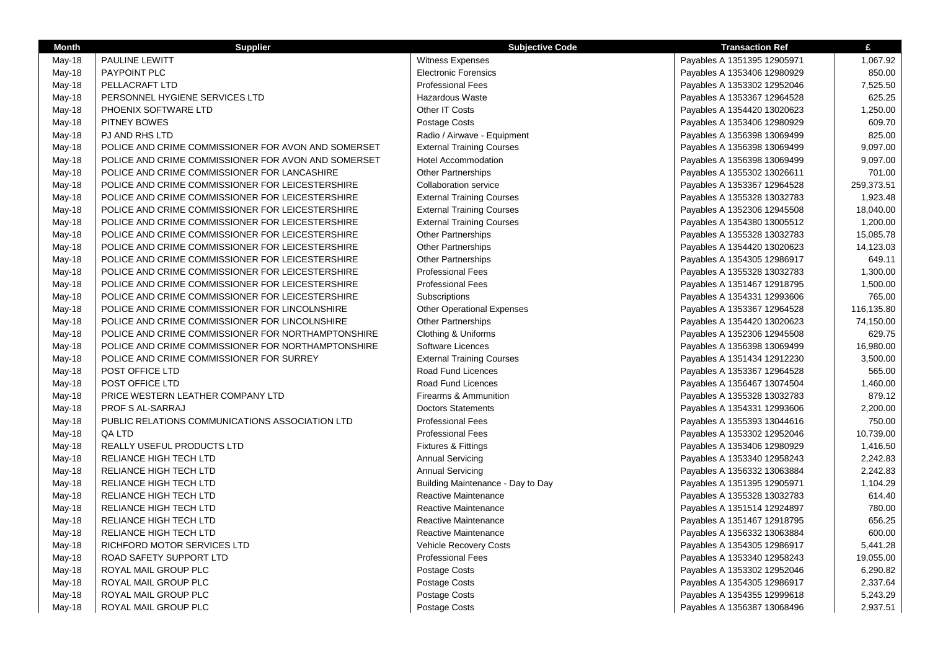| <b>Month</b> | <b>Supplier</b>                                     | <b>Subjective Code</b>            | <b>Transaction Ref</b>      | £          |
|--------------|-----------------------------------------------------|-----------------------------------|-----------------------------|------------|
| May-18       | PAULINE LEWITT                                      | <b>Witness Expenses</b>           | Payables A 1351395 12905971 | 1,067.92   |
| May-18       | PAYPOINT PLC                                        | <b>Electronic Forensics</b>       | Payables A 1353406 12980929 | 850.00     |
| May-18       | PELLACRAFT LTD                                      | <b>Professional Fees</b>          | Payables A 1353302 12952046 | 7,525.50   |
| May-18       | PERSONNEL HYGIENE SERVICES LTD                      | <b>Hazardous Waste</b>            | Payables A 1353367 12964528 | 625.25     |
| May-18       | PHOENIX SOFTWARE LTD                                | Other IT Costs                    | Payables A 1354420 13020623 | 1,250.00   |
| May-18       | PITNEY BOWES                                        | Postage Costs                     | Payables A 1353406 12980929 | 609.70     |
| May-18       | PJ AND RHS LTD                                      | Radio / Airwave - Equipment       | Payables A 1356398 13069499 | 825.00     |
| May-18       | POLICE AND CRIME COMMISSIONER FOR AVON AND SOMERSET | <b>External Training Courses</b>  | Payables A 1356398 13069499 | 9,097.00   |
| May-18       | POLICE AND CRIME COMMISSIONER FOR AVON AND SOMERSET | <b>Hotel Accommodation</b>        | Payables A 1356398 13069499 | 9,097.00   |
| May-18       | POLICE AND CRIME COMMISSIONER FOR LANCASHIRE        | <b>Other Partnerships</b>         | Payables A 1355302 13026611 | 701.00     |
| May-18       | POLICE AND CRIME COMMISSIONER FOR LEICESTERSHIRE    | <b>Collaboration service</b>      | Payables A 1353367 12964528 | 259,373.51 |
| May-18       | POLICE AND CRIME COMMISSIONER FOR LEICESTERSHIRE    | <b>External Training Courses</b>  | Payables A 1355328 13032783 | 1,923.48   |
| May-18       | POLICE AND CRIME COMMISSIONER FOR LEICESTERSHIRE    | <b>External Training Courses</b>  | Payables A 1352306 12945508 | 18,040.00  |
| May-18       | POLICE AND CRIME COMMISSIONER FOR LEICESTERSHIRE    | <b>External Training Courses</b>  | Payables A 1354380 13005512 | 1,200.00   |
| May-18       | POLICE AND CRIME COMMISSIONER FOR LEICESTERSHIRE    | <b>Other Partnerships</b>         | Payables A 1355328 13032783 | 15,085.78  |
| May-18       | POLICE AND CRIME COMMISSIONER FOR LEICESTERSHIRE    | <b>Other Partnerships</b>         | Payables A 1354420 13020623 | 14,123.03  |
| May-18       | POLICE AND CRIME COMMISSIONER FOR LEICESTERSHIRE    | <b>Other Partnerships</b>         | Payables A 1354305 12986917 | 649.11     |
| May-18       | POLICE AND CRIME COMMISSIONER FOR LEICESTERSHIRE    | <b>Professional Fees</b>          | Payables A 1355328 13032783 | 1,300.00   |
| May-18       | POLICE AND CRIME COMMISSIONER FOR LEICESTERSHIRE    | <b>Professional Fees</b>          | Payables A 1351467 12918795 | 1,500.00   |
| May-18       | POLICE AND CRIME COMMISSIONER FOR LEICESTERSHIRE    | Subscriptions                     | Payables A 1354331 12993606 | 765.00     |
| May-18       | POLICE AND CRIME COMMISSIONER FOR LINCOLNSHIRE      | <b>Other Operational Expenses</b> | Payables A 1353367 12964528 | 116,135.80 |
| May-18       | POLICE AND CRIME COMMISSIONER FOR LINCOLNSHIRE      | Other Partnerships                | Payables A 1354420 13020623 | 74,150.00  |
| May-18       | POLICE AND CRIME COMMISSIONER FOR NORTHAMPTONSHIRE  | Clothing & Uniforms               | Payables A 1352306 12945508 | 629.75     |
| May-18       | POLICE AND CRIME COMMISSIONER FOR NORTHAMPTONSHIRE  | Software Licences                 | Payables A 1356398 13069499 | 16,980.00  |
| May-18       | POLICE AND CRIME COMMISSIONER FOR SURREY            | <b>External Training Courses</b>  | Payables A 1351434 12912230 | 3,500.00   |
| May-18       | POST OFFICE LTD                                     | Road Fund Licences                | Payables A 1353367 12964528 | 565.00     |
| May-18       | POST OFFICE LTD                                     | Road Fund Licences                | Payables A 1356467 13074504 | 1,460.00   |
| May-18       | PRICE WESTERN LEATHER COMPANY LTD                   | Firearms & Ammunition             | Payables A 1355328 13032783 | 879.12     |
| May-18       | PROF S AL-SARRAJ                                    | <b>Doctors Statements</b>         | Payables A 1354331 12993606 | 2,200.00   |
| May-18       | PUBLIC RELATIONS COMMUNICATIONS ASSOCIATION LTD     | <b>Professional Fees</b>          | Payables A 1355393 13044616 | 750.00     |
| May-18       | QA LTD                                              | <b>Professional Fees</b>          | Payables A 1353302 12952046 | 10,739.00  |
| May-18       | REALLY USEFUL PRODUCTS LTD                          | <b>Fixtures &amp; Fittings</b>    | Payables A 1353406 12980929 | 1,416.50   |
| May-18       | RELIANCE HIGH TECH LTD                              | <b>Annual Servicing</b>           | Payables A 1353340 12958243 | 2,242.83   |
| May-18       | RELIANCE HIGH TECH LTD                              | <b>Annual Servicing</b>           | Payables A 1356332 13063884 | 2,242.83   |
| May-18       | RELIANCE HIGH TECH LTD                              | Building Maintenance - Day to Day | Payables A 1351395 12905971 | 1,104.29   |
| May-18       | RELIANCE HIGH TECH LTD                              | Reactive Maintenance              | Payables A 1355328 13032783 | 614.40     |
| May-18       | RELIANCE HIGH TECH LTD                              | Reactive Maintenance              | Payables A 1351514 12924897 | 780.00     |
| May-18       | RELIANCE HIGH TECH LTD                              | Reactive Maintenance              | Payables A 1351467 12918795 | 656.25     |
| May-18       | RELIANCE HIGH TECH LTD                              | Reactive Maintenance              | Payables A 1356332 13063884 | 600.00     |
| May-18       | RICHFORD MOTOR SERVICES LTD                         | <b>Vehicle Recovery Costs</b>     | Payables A 1354305 12986917 | 5,441.28   |
| May-18       | ROAD SAFETY SUPPORT LTD                             | <b>Professional Fees</b>          | Payables A 1353340 12958243 | 19,055.00  |
| May-18       | ROYAL MAIL GROUP PLC                                | <b>Postage Costs</b>              | Payables A 1353302 12952046 | 6,290.82   |
| May-18       | ROYAL MAIL GROUP PLC                                | Postage Costs                     | Payables A 1354305 12986917 | 2,337.64   |
| May-18       | ROYAL MAIL GROUP PLC                                | Postage Costs                     | Payables A 1354355 12999618 | 5,243.29   |
| May-18       | ROYAL MAIL GROUP PLC                                | <b>Postage Costs</b>              | Payables A 1356387 13068496 | 2,937.51   |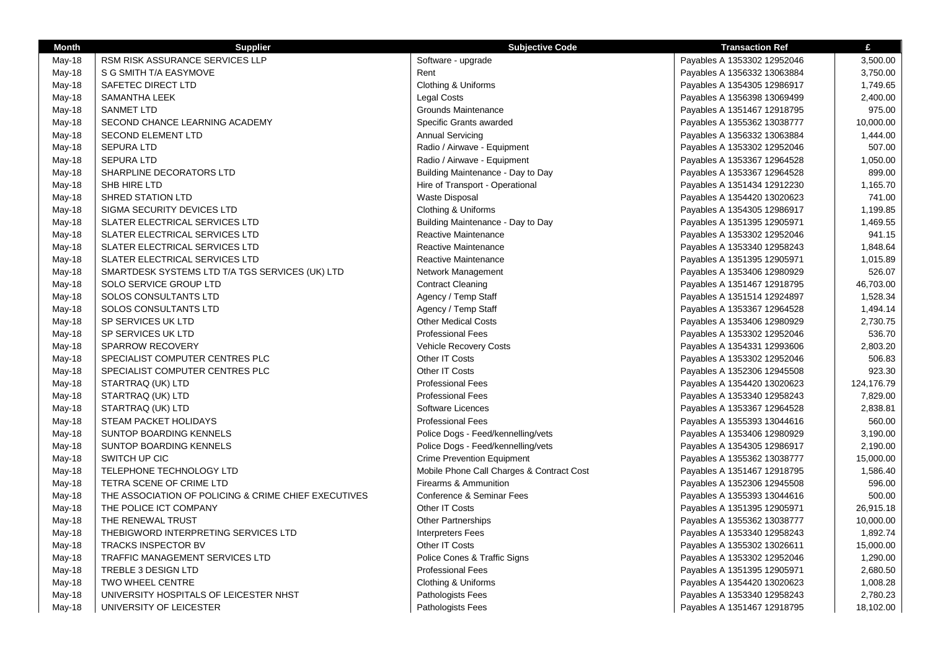| <b>RSM RISK ASSURANCE SERVICES LLP</b><br>Software - upgrade<br>Payables A 1353302 12952046<br>3,500.00<br>May-18<br>May-18<br>S G SMITH T/A EASYMOVE<br>Rent<br>Payables A 1356332 13063884<br>3,750.00<br>Clothing & Uniforms<br>SAFETEC DIRECT LTD<br>1,749.65<br>May-18<br>Payables A 1354305 12986917<br>May-18<br><b>SAMANTHA LEEK</b><br>Legal Costs<br>Payables A 1356398 13069499<br>2,400.00<br><b>SANMET LTD</b><br>975.00<br>May-18<br>Grounds Maintenance<br>Payables A 1351467 12918795<br>Specific Grants awarded<br>10,000.00<br>May-18<br>SECOND CHANCE LEARNING ACADEMY<br>Payables A 1355362 13038777<br><b>SECOND ELEMENT LTD</b><br><b>Annual Servicing</b><br>May-18<br>Payables A 1356332 13063884<br>1,444.00<br>Radio / Airwave - Equipment<br>507.00<br>May-18<br><b>SEPURA LTD</b><br>Payables A 1353302 12952046<br><b>SEPURA LTD</b><br>Radio / Airwave - Equipment<br>Payables A 1353367 12964528<br>1,050.00<br>May-18<br>SHARPLINE DECORATORS LTD<br>Building Maintenance - Day to Day<br>899.00<br>May-18<br>Payables A 1353367 12964528<br>May-18<br>SHB HIRE LTD<br>Hire of Transport - Operational<br>1,165.70<br>Payables A 1351434 12912230<br>741.00<br>May-18<br>SHRED STATION LTD<br>Waste Disposal<br>Payables A 1354420 13020623<br>1,199.85<br>May-18<br>SIGMA SECURITY DEVICES LTD<br>Clothing & Uniforms<br>Payables A 1354305 12986917<br>1,469.55<br>May-18<br>SLATER ELECTRICAL SERVICES LTD<br>Building Maintenance - Day to Day<br>Payables A 1351395 12905971<br>941.15<br>May-18<br>SLATER ELECTRICAL SERVICES LTD<br>Reactive Maintenance<br>Payables A 1353302 12952046<br>1,848.64<br>May-18<br>SLATER ELECTRICAL SERVICES LTD<br>Reactive Maintenance<br>Payables A 1353340 12958243<br>SLATER ELECTRICAL SERVICES LTD<br>Reactive Maintenance<br>1,015.89<br>May-18<br>Payables A 1351395 12905971<br>526.07<br>SMARTDESK SYSTEMS LTD T/A TGS SERVICES (UK) LTD<br>May-18<br>Network Management<br>Payables A 1353406 12980929<br>SOLO SERVICE GROUP LTD<br><b>Contract Cleaning</b><br>46,703.00<br>May-18<br>Payables A 1351467 12918795<br>1,528.34<br><b>SOLOS CONSULTANTS LTD</b><br>Agency / Temp Staff<br>May-18<br>Payables A 1351514 12924897<br>May-18<br>SOLOS CONSULTANTS LTD<br>Agency / Temp Staff<br>Payables A 1353367 12964528<br>1,494.14<br>SP SERVICES UK LTD<br><b>Other Medical Costs</b><br>2,730.75<br>May-18<br>Payables A 1353406 12980929<br>SP SERVICES UK LTD<br><b>Professional Fees</b><br>536.70<br>May-18<br>Payables A 1353302 12952046<br><b>Vehicle Recovery Costs</b><br>2,803.20<br>May-18<br><b>SPARROW RECOVERY</b><br>Payables A 1354331 12993606<br>Other IT Costs<br>506.83<br>May-18<br>SPECIALIST COMPUTER CENTRES PLC<br>Payables A 1353302 12952046<br>Other IT Costs<br>923.30<br>SPECIALIST COMPUTER CENTRES PLC<br>Payables A 1352306 12945508<br>May-18<br>STARTRAQ (UK) LTD<br><b>Professional Fees</b><br>124,176.79<br>May-18<br>Payables A 1354420 13020623<br><b>Professional Fees</b><br>7,829.00<br>STARTRAQ (UK) LTD<br>May-18<br>Payables A 1353340 12958243 |
|------------------------------------------------------------------------------------------------------------------------------------------------------------------------------------------------------------------------------------------------------------------------------------------------------------------------------------------------------------------------------------------------------------------------------------------------------------------------------------------------------------------------------------------------------------------------------------------------------------------------------------------------------------------------------------------------------------------------------------------------------------------------------------------------------------------------------------------------------------------------------------------------------------------------------------------------------------------------------------------------------------------------------------------------------------------------------------------------------------------------------------------------------------------------------------------------------------------------------------------------------------------------------------------------------------------------------------------------------------------------------------------------------------------------------------------------------------------------------------------------------------------------------------------------------------------------------------------------------------------------------------------------------------------------------------------------------------------------------------------------------------------------------------------------------------------------------------------------------------------------------------------------------------------------------------------------------------------------------------------------------------------------------------------------------------------------------------------------------------------------------------------------------------------------------------------------------------------------------------------------------------------------------------------------------------------------------------------------------------------------------------------------------------------------------------------------------------------------------------------------------------------------------------------------------------------------------------------------------------------------------------------------------------------------------------------------------------------------------------------------------------------------------------------------------------------------------------------------------------------------------------------------------------------------------------------------------------------------------------------------------------------------------------------------------------------------------------|
|                                                                                                                                                                                                                                                                                                                                                                                                                                                                                                                                                                                                                                                                                                                                                                                                                                                                                                                                                                                                                                                                                                                                                                                                                                                                                                                                                                                                                                                                                                                                                                                                                                                                                                                                                                                                                                                                                                                                                                                                                                                                                                                                                                                                                                                                                                                                                                                                                                                                                                                                                                                                                                                                                                                                                                                                                                                                                                                                                                                                                                                                                    |
|                                                                                                                                                                                                                                                                                                                                                                                                                                                                                                                                                                                                                                                                                                                                                                                                                                                                                                                                                                                                                                                                                                                                                                                                                                                                                                                                                                                                                                                                                                                                                                                                                                                                                                                                                                                                                                                                                                                                                                                                                                                                                                                                                                                                                                                                                                                                                                                                                                                                                                                                                                                                                                                                                                                                                                                                                                                                                                                                                                                                                                                                                    |
|                                                                                                                                                                                                                                                                                                                                                                                                                                                                                                                                                                                                                                                                                                                                                                                                                                                                                                                                                                                                                                                                                                                                                                                                                                                                                                                                                                                                                                                                                                                                                                                                                                                                                                                                                                                                                                                                                                                                                                                                                                                                                                                                                                                                                                                                                                                                                                                                                                                                                                                                                                                                                                                                                                                                                                                                                                                                                                                                                                                                                                                                                    |
|                                                                                                                                                                                                                                                                                                                                                                                                                                                                                                                                                                                                                                                                                                                                                                                                                                                                                                                                                                                                                                                                                                                                                                                                                                                                                                                                                                                                                                                                                                                                                                                                                                                                                                                                                                                                                                                                                                                                                                                                                                                                                                                                                                                                                                                                                                                                                                                                                                                                                                                                                                                                                                                                                                                                                                                                                                                                                                                                                                                                                                                                                    |
|                                                                                                                                                                                                                                                                                                                                                                                                                                                                                                                                                                                                                                                                                                                                                                                                                                                                                                                                                                                                                                                                                                                                                                                                                                                                                                                                                                                                                                                                                                                                                                                                                                                                                                                                                                                                                                                                                                                                                                                                                                                                                                                                                                                                                                                                                                                                                                                                                                                                                                                                                                                                                                                                                                                                                                                                                                                                                                                                                                                                                                                                                    |
|                                                                                                                                                                                                                                                                                                                                                                                                                                                                                                                                                                                                                                                                                                                                                                                                                                                                                                                                                                                                                                                                                                                                                                                                                                                                                                                                                                                                                                                                                                                                                                                                                                                                                                                                                                                                                                                                                                                                                                                                                                                                                                                                                                                                                                                                                                                                                                                                                                                                                                                                                                                                                                                                                                                                                                                                                                                                                                                                                                                                                                                                                    |
|                                                                                                                                                                                                                                                                                                                                                                                                                                                                                                                                                                                                                                                                                                                                                                                                                                                                                                                                                                                                                                                                                                                                                                                                                                                                                                                                                                                                                                                                                                                                                                                                                                                                                                                                                                                                                                                                                                                                                                                                                                                                                                                                                                                                                                                                                                                                                                                                                                                                                                                                                                                                                                                                                                                                                                                                                                                                                                                                                                                                                                                                                    |
|                                                                                                                                                                                                                                                                                                                                                                                                                                                                                                                                                                                                                                                                                                                                                                                                                                                                                                                                                                                                                                                                                                                                                                                                                                                                                                                                                                                                                                                                                                                                                                                                                                                                                                                                                                                                                                                                                                                                                                                                                                                                                                                                                                                                                                                                                                                                                                                                                                                                                                                                                                                                                                                                                                                                                                                                                                                                                                                                                                                                                                                                                    |
|                                                                                                                                                                                                                                                                                                                                                                                                                                                                                                                                                                                                                                                                                                                                                                                                                                                                                                                                                                                                                                                                                                                                                                                                                                                                                                                                                                                                                                                                                                                                                                                                                                                                                                                                                                                                                                                                                                                                                                                                                                                                                                                                                                                                                                                                                                                                                                                                                                                                                                                                                                                                                                                                                                                                                                                                                                                                                                                                                                                                                                                                                    |
|                                                                                                                                                                                                                                                                                                                                                                                                                                                                                                                                                                                                                                                                                                                                                                                                                                                                                                                                                                                                                                                                                                                                                                                                                                                                                                                                                                                                                                                                                                                                                                                                                                                                                                                                                                                                                                                                                                                                                                                                                                                                                                                                                                                                                                                                                                                                                                                                                                                                                                                                                                                                                                                                                                                                                                                                                                                                                                                                                                                                                                                                                    |
|                                                                                                                                                                                                                                                                                                                                                                                                                                                                                                                                                                                                                                                                                                                                                                                                                                                                                                                                                                                                                                                                                                                                                                                                                                                                                                                                                                                                                                                                                                                                                                                                                                                                                                                                                                                                                                                                                                                                                                                                                                                                                                                                                                                                                                                                                                                                                                                                                                                                                                                                                                                                                                                                                                                                                                                                                                                                                                                                                                                                                                                                                    |
|                                                                                                                                                                                                                                                                                                                                                                                                                                                                                                                                                                                                                                                                                                                                                                                                                                                                                                                                                                                                                                                                                                                                                                                                                                                                                                                                                                                                                                                                                                                                                                                                                                                                                                                                                                                                                                                                                                                                                                                                                                                                                                                                                                                                                                                                                                                                                                                                                                                                                                                                                                                                                                                                                                                                                                                                                                                                                                                                                                                                                                                                                    |
|                                                                                                                                                                                                                                                                                                                                                                                                                                                                                                                                                                                                                                                                                                                                                                                                                                                                                                                                                                                                                                                                                                                                                                                                                                                                                                                                                                                                                                                                                                                                                                                                                                                                                                                                                                                                                                                                                                                                                                                                                                                                                                                                                                                                                                                                                                                                                                                                                                                                                                                                                                                                                                                                                                                                                                                                                                                                                                                                                                                                                                                                                    |
|                                                                                                                                                                                                                                                                                                                                                                                                                                                                                                                                                                                                                                                                                                                                                                                                                                                                                                                                                                                                                                                                                                                                                                                                                                                                                                                                                                                                                                                                                                                                                                                                                                                                                                                                                                                                                                                                                                                                                                                                                                                                                                                                                                                                                                                                                                                                                                                                                                                                                                                                                                                                                                                                                                                                                                                                                                                                                                                                                                                                                                                                                    |
|                                                                                                                                                                                                                                                                                                                                                                                                                                                                                                                                                                                                                                                                                                                                                                                                                                                                                                                                                                                                                                                                                                                                                                                                                                                                                                                                                                                                                                                                                                                                                                                                                                                                                                                                                                                                                                                                                                                                                                                                                                                                                                                                                                                                                                                                                                                                                                                                                                                                                                                                                                                                                                                                                                                                                                                                                                                                                                                                                                                                                                                                                    |
|                                                                                                                                                                                                                                                                                                                                                                                                                                                                                                                                                                                                                                                                                                                                                                                                                                                                                                                                                                                                                                                                                                                                                                                                                                                                                                                                                                                                                                                                                                                                                                                                                                                                                                                                                                                                                                                                                                                                                                                                                                                                                                                                                                                                                                                                                                                                                                                                                                                                                                                                                                                                                                                                                                                                                                                                                                                                                                                                                                                                                                                                                    |
|                                                                                                                                                                                                                                                                                                                                                                                                                                                                                                                                                                                                                                                                                                                                                                                                                                                                                                                                                                                                                                                                                                                                                                                                                                                                                                                                                                                                                                                                                                                                                                                                                                                                                                                                                                                                                                                                                                                                                                                                                                                                                                                                                                                                                                                                                                                                                                                                                                                                                                                                                                                                                                                                                                                                                                                                                                                                                                                                                                                                                                                                                    |
|                                                                                                                                                                                                                                                                                                                                                                                                                                                                                                                                                                                                                                                                                                                                                                                                                                                                                                                                                                                                                                                                                                                                                                                                                                                                                                                                                                                                                                                                                                                                                                                                                                                                                                                                                                                                                                                                                                                                                                                                                                                                                                                                                                                                                                                                                                                                                                                                                                                                                                                                                                                                                                                                                                                                                                                                                                                                                                                                                                                                                                                                                    |
|                                                                                                                                                                                                                                                                                                                                                                                                                                                                                                                                                                                                                                                                                                                                                                                                                                                                                                                                                                                                                                                                                                                                                                                                                                                                                                                                                                                                                                                                                                                                                                                                                                                                                                                                                                                                                                                                                                                                                                                                                                                                                                                                                                                                                                                                                                                                                                                                                                                                                                                                                                                                                                                                                                                                                                                                                                                                                                                                                                                                                                                                                    |
|                                                                                                                                                                                                                                                                                                                                                                                                                                                                                                                                                                                                                                                                                                                                                                                                                                                                                                                                                                                                                                                                                                                                                                                                                                                                                                                                                                                                                                                                                                                                                                                                                                                                                                                                                                                                                                                                                                                                                                                                                                                                                                                                                                                                                                                                                                                                                                                                                                                                                                                                                                                                                                                                                                                                                                                                                                                                                                                                                                                                                                                                                    |
|                                                                                                                                                                                                                                                                                                                                                                                                                                                                                                                                                                                                                                                                                                                                                                                                                                                                                                                                                                                                                                                                                                                                                                                                                                                                                                                                                                                                                                                                                                                                                                                                                                                                                                                                                                                                                                                                                                                                                                                                                                                                                                                                                                                                                                                                                                                                                                                                                                                                                                                                                                                                                                                                                                                                                                                                                                                                                                                                                                                                                                                                                    |
|                                                                                                                                                                                                                                                                                                                                                                                                                                                                                                                                                                                                                                                                                                                                                                                                                                                                                                                                                                                                                                                                                                                                                                                                                                                                                                                                                                                                                                                                                                                                                                                                                                                                                                                                                                                                                                                                                                                                                                                                                                                                                                                                                                                                                                                                                                                                                                                                                                                                                                                                                                                                                                                                                                                                                                                                                                                                                                                                                                                                                                                                                    |
|                                                                                                                                                                                                                                                                                                                                                                                                                                                                                                                                                                                                                                                                                                                                                                                                                                                                                                                                                                                                                                                                                                                                                                                                                                                                                                                                                                                                                                                                                                                                                                                                                                                                                                                                                                                                                                                                                                                                                                                                                                                                                                                                                                                                                                                                                                                                                                                                                                                                                                                                                                                                                                                                                                                                                                                                                                                                                                                                                                                                                                                                                    |
|                                                                                                                                                                                                                                                                                                                                                                                                                                                                                                                                                                                                                                                                                                                                                                                                                                                                                                                                                                                                                                                                                                                                                                                                                                                                                                                                                                                                                                                                                                                                                                                                                                                                                                                                                                                                                                                                                                                                                                                                                                                                                                                                                                                                                                                                                                                                                                                                                                                                                                                                                                                                                                                                                                                                                                                                                                                                                                                                                                                                                                                                                    |
|                                                                                                                                                                                                                                                                                                                                                                                                                                                                                                                                                                                                                                                                                                                                                                                                                                                                                                                                                                                                                                                                                                                                                                                                                                                                                                                                                                                                                                                                                                                                                                                                                                                                                                                                                                                                                                                                                                                                                                                                                                                                                                                                                                                                                                                                                                                                                                                                                                                                                                                                                                                                                                                                                                                                                                                                                                                                                                                                                                                                                                                                                    |
|                                                                                                                                                                                                                                                                                                                                                                                                                                                                                                                                                                                                                                                                                                                                                                                                                                                                                                                                                                                                                                                                                                                                                                                                                                                                                                                                                                                                                                                                                                                                                                                                                                                                                                                                                                                                                                                                                                                                                                                                                                                                                                                                                                                                                                                                                                                                                                                                                                                                                                                                                                                                                                                                                                                                                                                                                                                                                                                                                                                                                                                                                    |
|                                                                                                                                                                                                                                                                                                                                                                                                                                                                                                                                                                                                                                                                                                                                                                                                                                                                                                                                                                                                                                                                                                                                                                                                                                                                                                                                                                                                                                                                                                                                                                                                                                                                                                                                                                                                                                                                                                                                                                                                                                                                                                                                                                                                                                                                                                                                                                                                                                                                                                                                                                                                                                                                                                                                                                                                                                                                                                                                                                                                                                                                                    |
|                                                                                                                                                                                                                                                                                                                                                                                                                                                                                                                                                                                                                                                                                                                                                                                                                                                                                                                                                                                                                                                                                                                                                                                                                                                                                                                                                                                                                                                                                                                                                                                                                                                                                                                                                                                                                                                                                                                                                                                                                                                                                                                                                                                                                                                                                                                                                                                                                                                                                                                                                                                                                                                                                                                                                                                                                                                                                                                                                                                                                                                                                    |
| Software Licences<br>2,838.81<br>May-18<br>STARTRAQ (UK) LTD<br>Payables A 1353367 12964528                                                                                                                                                                                                                                                                                                                                                                                                                                                                                                                                                                                                                                                                                                                                                                                                                                                                                                                                                                                                                                                                                                                                                                                                                                                                                                                                                                                                                                                                                                                                                                                                                                                                                                                                                                                                                                                                                                                                                                                                                                                                                                                                                                                                                                                                                                                                                                                                                                                                                                                                                                                                                                                                                                                                                                                                                                                                                                                                                                                        |
| 560.00<br>May-18<br>STEAM PACKET HOLIDAYS<br><b>Professional Fees</b><br>Payables A 1355393 13044616                                                                                                                                                                                                                                                                                                                                                                                                                                                                                                                                                                                                                                                                                                                                                                                                                                                                                                                                                                                                                                                                                                                                                                                                                                                                                                                                                                                                                                                                                                                                                                                                                                                                                                                                                                                                                                                                                                                                                                                                                                                                                                                                                                                                                                                                                                                                                                                                                                                                                                                                                                                                                                                                                                                                                                                                                                                                                                                                                                               |
| 3,190.00<br>May-18<br>SUNTOP BOARDING KENNELS<br>Police Dogs - Feed/kennelling/vets<br>Payables A 1353406 12980929                                                                                                                                                                                                                                                                                                                                                                                                                                                                                                                                                                                                                                                                                                                                                                                                                                                                                                                                                                                                                                                                                                                                                                                                                                                                                                                                                                                                                                                                                                                                                                                                                                                                                                                                                                                                                                                                                                                                                                                                                                                                                                                                                                                                                                                                                                                                                                                                                                                                                                                                                                                                                                                                                                                                                                                                                                                                                                                                                                 |
| Police Dogs - Feed/kennelling/vets<br>2,190.00<br>May-18<br>SUNTOP BOARDING KENNELS<br>Payables A 1354305 12986917                                                                                                                                                                                                                                                                                                                                                                                                                                                                                                                                                                                                                                                                                                                                                                                                                                                                                                                                                                                                                                                                                                                                                                                                                                                                                                                                                                                                                                                                                                                                                                                                                                                                                                                                                                                                                                                                                                                                                                                                                                                                                                                                                                                                                                                                                                                                                                                                                                                                                                                                                                                                                                                                                                                                                                                                                                                                                                                                                                 |
| SWITCH UP CIC<br><b>Crime Prevention Equipment</b><br>May-18<br>15,000.00<br>Payables A 1355362 13038777                                                                                                                                                                                                                                                                                                                                                                                                                                                                                                                                                                                                                                                                                                                                                                                                                                                                                                                                                                                                                                                                                                                                                                                                                                                                                                                                                                                                                                                                                                                                                                                                                                                                                                                                                                                                                                                                                                                                                                                                                                                                                                                                                                                                                                                                                                                                                                                                                                                                                                                                                                                                                                                                                                                                                                                                                                                                                                                                                                           |
| TELEPHONE TECHNOLOGY LTD<br>Mobile Phone Call Charges & Contract Cost<br>1,586.40<br>May-18<br>Payables A 1351467 12918795                                                                                                                                                                                                                                                                                                                                                                                                                                                                                                                                                                                                                                                                                                                                                                                                                                                                                                                                                                                                                                                                                                                                                                                                                                                                                                                                                                                                                                                                                                                                                                                                                                                                                                                                                                                                                                                                                                                                                                                                                                                                                                                                                                                                                                                                                                                                                                                                                                                                                                                                                                                                                                                                                                                                                                                                                                                                                                                                                         |
| <b>Firearms &amp; Ammunition</b><br>596.00<br>TETRA SCENE OF CRIME LTD<br>May-18<br>Payables A 1352306 12945508                                                                                                                                                                                                                                                                                                                                                                                                                                                                                                                                                                                                                                                                                                                                                                                                                                                                                                                                                                                                                                                                                                                                                                                                                                                                                                                                                                                                                                                                                                                                                                                                                                                                                                                                                                                                                                                                                                                                                                                                                                                                                                                                                                                                                                                                                                                                                                                                                                                                                                                                                                                                                                                                                                                                                                                                                                                                                                                                                                    |
| Conference & Seminar Fees<br>500.00<br>May-18<br>THE ASSOCIATION OF POLICING & CRIME CHIEF EXECUTIVES<br>Payables A 1355393 13044616                                                                                                                                                                                                                                                                                                                                                                                                                                                                                                                                                                                                                                                                                                                                                                                                                                                                                                                                                                                                                                                                                                                                                                                                                                                                                                                                                                                                                                                                                                                                                                                                                                                                                                                                                                                                                                                                                                                                                                                                                                                                                                                                                                                                                                                                                                                                                                                                                                                                                                                                                                                                                                                                                                                                                                                                                                                                                                                                               |
| Other IT Costs<br>26,915.18<br>THE POLICE ICT COMPANY<br>May-18<br>Payables A 1351395 12905971                                                                                                                                                                                                                                                                                                                                                                                                                                                                                                                                                                                                                                                                                                                                                                                                                                                                                                                                                                                                                                                                                                                                                                                                                                                                                                                                                                                                                                                                                                                                                                                                                                                                                                                                                                                                                                                                                                                                                                                                                                                                                                                                                                                                                                                                                                                                                                                                                                                                                                                                                                                                                                                                                                                                                                                                                                                                                                                                                                                     |
| May-18<br>THE RENEWAL TRUST<br><b>Other Partnerships</b><br>Payables A 1355362 13038777<br>10,000.00                                                                                                                                                                                                                                                                                                                                                                                                                                                                                                                                                                                                                                                                                                                                                                                                                                                                                                                                                                                                                                                                                                                                                                                                                                                                                                                                                                                                                                                                                                                                                                                                                                                                                                                                                                                                                                                                                                                                                                                                                                                                                                                                                                                                                                                                                                                                                                                                                                                                                                                                                                                                                                                                                                                                                                                                                                                                                                                                                                               |
| THEBIGWORD INTERPRETING SERVICES LTD<br>1,892.74<br><b>Interpreters Fees</b><br>Payables A 1353340 12958243<br>May-18                                                                                                                                                                                                                                                                                                                                                                                                                                                                                                                                                                                                                                                                                                                                                                                                                                                                                                                                                                                                                                                                                                                                                                                                                                                                                                                                                                                                                                                                                                                                                                                                                                                                                                                                                                                                                                                                                                                                                                                                                                                                                                                                                                                                                                                                                                                                                                                                                                                                                                                                                                                                                                                                                                                                                                                                                                                                                                                                                              |
| Other IT Costs<br>15,000.00<br>May-18<br><b>TRACKS INSPECTOR BV</b><br>Payables A 1355302 13026611                                                                                                                                                                                                                                                                                                                                                                                                                                                                                                                                                                                                                                                                                                                                                                                                                                                                                                                                                                                                                                                                                                                                                                                                                                                                                                                                                                                                                                                                                                                                                                                                                                                                                                                                                                                                                                                                                                                                                                                                                                                                                                                                                                                                                                                                                                                                                                                                                                                                                                                                                                                                                                                                                                                                                                                                                                                                                                                                                                                 |
| Police Cones & Traffic Signs<br>1,290.00<br>May-18<br><b>TRAFFIC MANAGEMENT SERVICES LTD</b><br>Payables A 1353302 12952046                                                                                                                                                                                                                                                                                                                                                                                                                                                                                                                                                                                                                                                                                                                                                                                                                                                                                                                                                                                                                                                                                                                                                                                                                                                                                                                                                                                                                                                                                                                                                                                                                                                                                                                                                                                                                                                                                                                                                                                                                                                                                                                                                                                                                                                                                                                                                                                                                                                                                                                                                                                                                                                                                                                                                                                                                                                                                                                                                        |
| <b>Professional Fees</b><br>2,680.50<br>May-18<br>TREBLE 3 DESIGN LTD<br>Payables A 1351395 12905971                                                                                                                                                                                                                                                                                                                                                                                                                                                                                                                                                                                                                                                                                                                                                                                                                                                                                                                                                                                                                                                                                                                                                                                                                                                                                                                                                                                                                                                                                                                                                                                                                                                                                                                                                                                                                                                                                                                                                                                                                                                                                                                                                                                                                                                                                                                                                                                                                                                                                                                                                                                                                                                                                                                                                                                                                                                                                                                                                                               |
| <b>TWO WHEEL CENTRE</b><br>Clothing & Uniforms<br>1,008.28<br>May-18<br>Payables A 1354420 13020623                                                                                                                                                                                                                                                                                                                                                                                                                                                                                                                                                                                                                                                                                                                                                                                                                                                                                                                                                                                                                                                                                                                                                                                                                                                                                                                                                                                                                                                                                                                                                                                                                                                                                                                                                                                                                                                                                                                                                                                                                                                                                                                                                                                                                                                                                                                                                                                                                                                                                                                                                                                                                                                                                                                                                                                                                                                                                                                                                                                |
| UNIVERSITY HOSPITALS OF LEICESTER NHST<br>Pathologists Fees<br>2,780.23<br>May-18<br>Payables A 1353340 12958243                                                                                                                                                                                                                                                                                                                                                                                                                                                                                                                                                                                                                                                                                                                                                                                                                                                                                                                                                                                                                                                                                                                                                                                                                                                                                                                                                                                                                                                                                                                                                                                                                                                                                                                                                                                                                                                                                                                                                                                                                                                                                                                                                                                                                                                                                                                                                                                                                                                                                                                                                                                                                                                                                                                                                                                                                                                                                                                                                                   |
| May-18<br>UNIVERSITY OF LEICESTER<br>Pathologists Fees<br>Payables A 1351467 12918795<br>18,102.00                                                                                                                                                                                                                                                                                                                                                                                                                                                                                                                                                                                                                                                                                                                                                                                                                                                                                                                                                                                                                                                                                                                                                                                                                                                                                                                                                                                                                                                                                                                                                                                                                                                                                                                                                                                                                                                                                                                                                                                                                                                                                                                                                                                                                                                                                                                                                                                                                                                                                                                                                                                                                                                                                                                                                                                                                                                                                                                                                                                 |